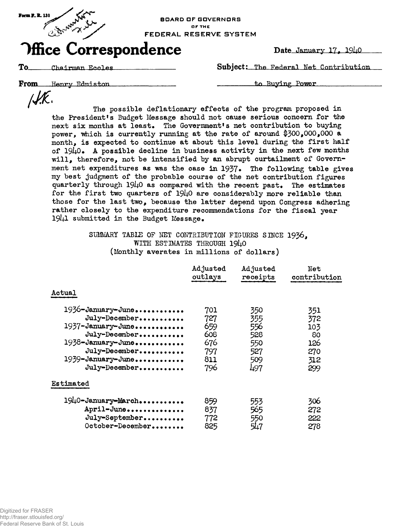

OF THE FEDERAL RESERVE SYSTEM

## **Office Correspondence** Date January 17, 19ho

To Chairman Ecoles **Subject**: The Federal Net Contribution

**From** Henry Edmiston **Example 2018** 2.1 Lo Buying Power

 $\mathcal{NK}.$ 

The possible deflationary effects of the program proposed in the President's Budget Message should not cause serious concern for the next six months at least. The Government's net contribution to buying power, which is currently running at the rate of around  $$300,000,000$  a month, is expected to continue at about this level during the first half of  $19\mu$ O. A possible decline in business activity in the next few months will, therefore, not be intensified by an abrupt curtailment of Government net expenditures as was the case in 1937. The following table gives my best judgment of the probable course of the net contribution figures quarterly through  $1940$  as compared with the recent past. The estimates for the first two quarters of  $1940$  are considerably more reliable than those for the last two, because the latter depend upon Congress adhering rather closely to the expenditure recommendations for the fiscal year submitted in the Budget Message.

> SUMMARY TABLE OF NET CONTRIBUTION FIGURES SINCE 1936. WITH ESTIMATES THROUGH 1940 (Monthly averates in millions of dollars)

|                    | Adjusted | Adjusted | Net          |
|--------------------|----------|----------|--------------|
|                    | outlays  | receipts | contribution |
| Actual             |          |          |              |
| 1936-January-June  | 701      | 350      | 351          |
| July-December      | 727      | 355      | 372          |
| 1937-January-June  | 659      | 556      | 103          |
| July-December      | 608      | 528      | 80           |
| 1938-January-June  | 676      | 550      | 126          |
| July-December      | 797      | 527      | 270          |
| 1939-January-June  | 811      | 509      | 312          |
| July-December      | 796      | 497      | 299          |
| Estimated          |          |          |              |
| 1940-January-March | 859      | 553      | 306          |
| April-June         | 837      | 565      | 272          |
| July-September     | 772      | 550      | 222          |
| October-December   | 825      | 547      | 278          |